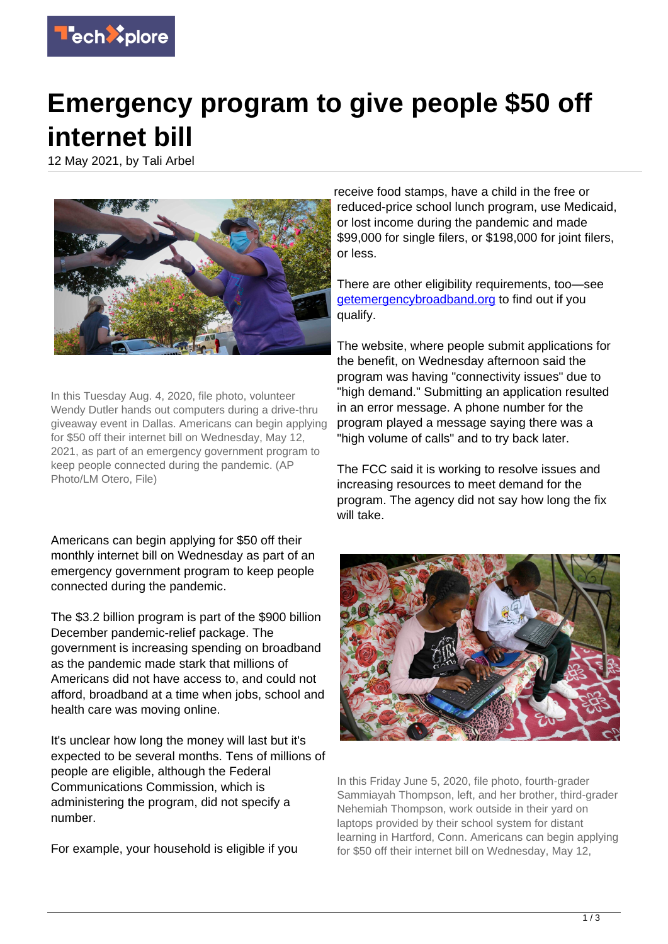

## **Emergency program to give people \$50 off internet bill**

12 May 2021, by Tali Arbel



In this Tuesday Aug. 4, 2020, file photo, volunteer Wendy Dutler hands out computers during a drive-thru giveaway event in Dallas. Americans can begin applying for \$50 off their internet bill on Wednesday, May 12, 2021, as part of an emergency government program to keep people connected during the pandemic. (AP Photo/LM Otero, File)

Americans can begin applying for \$50 off their monthly internet bill on Wednesday as part of an emergency government program to keep people connected during the pandemic.

The \$3.2 billion program is part of the \$900 billion December pandemic-relief package. The government is increasing spending on broadband as the pandemic made stark that millions of Americans did not have access to, and could not afford, broadband at a time when jobs, school and health care was moving online.

It's unclear how long the money will last but it's expected to be several months. Tens of millions of people are eligible, although the Federal Communications Commission, which is administering the program, did not specify a number.

For example, your household is eligible if you

receive food stamps, have a child in the free or reduced-price school lunch program, use Medicaid, or lost income during the pandemic and made \$99,000 for single filers, or \$198,000 for joint filers, or less.

There are other eligibility requirements, too—see [getemergencybroadband.org](https://getemergencybroadband.org) to find out if you qualify.

The website, where people submit applications for the benefit, on Wednesday afternoon said the program was having "connectivity issues" due to "high demand." Submitting an application resulted in an error message. A phone number for the program played a message saying there was a "high volume of calls" and to try back later.

The FCC said it is working to resolve issues and increasing resources to meet demand for the program. The agency did not say how long the fix will take.



In this Friday June 5, 2020, file photo, fourth-grader Sammiayah Thompson, left, and her brother, third-grader Nehemiah Thompson, work outside in their yard on laptops provided by their school system for distant learning in Hartford, Conn. Americans can begin applying for \$50 off their internet bill on Wednesday, May 12,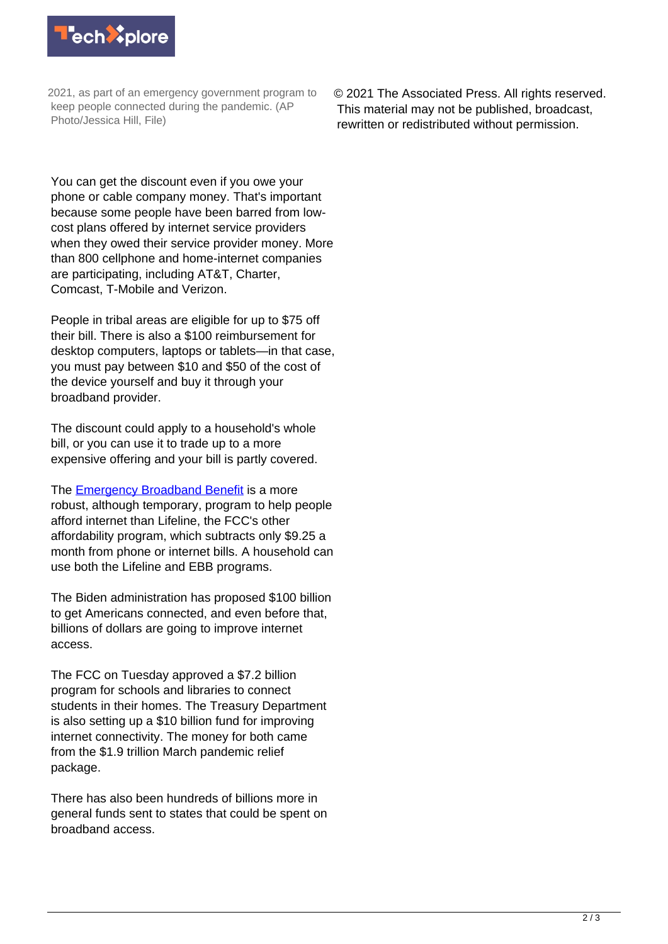

2021, as part of an emergency government program to keep people connected during the pandemic. (AP Photo/Jessica Hill, File)

© 2021 The Associated Press. All rights reserved. This material may not be published, broadcast, rewritten or redistributed without permission.

You can get the discount even if you owe your phone or cable company money. That's important because some people have been barred from lowcost plans offered by internet service providers when they owed their service provider money. More than 800 cellphone and home-internet companies are participating, including AT&T, Charter, Comcast, T-Mobile and Verizon.

People in tribal areas are eligible for up to \$75 off their bill. There is also a \$100 reimbursement for desktop computers, laptops or tablets—in that case, you must pay between \$10 and \$50 of the cost of the device yourself and buy it through your broadband provider.

The discount could apply to a household's whole bill, or you can use it to trade up to a more expensive offering and your bill is partly covered.

The [Emergency Broadband Benefit](https://www.fcc.gov/broadbandbenefit) is a more robust, although temporary, program to help people afford internet than Lifeline, the FCC's other affordability program, which subtracts only \$9.25 a month from phone or internet bills. A household can use both the Lifeline and EBB programs.

The Biden administration has proposed \$100 billion to get Americans connected, and even before that, billions of dollars are going to improve internet access.

The FCC on Tuesday approved a \$7.2 billion program for schools and libraries to connect students in their homes. The Treasury Department is also setting up a \$10 billion fund for improving internet connectivity. The money for both came from the \$1.9 trillion March pandemic relief package.

There has also been hundreds of billions more in general funds sent to states that could be spent on broadband access.